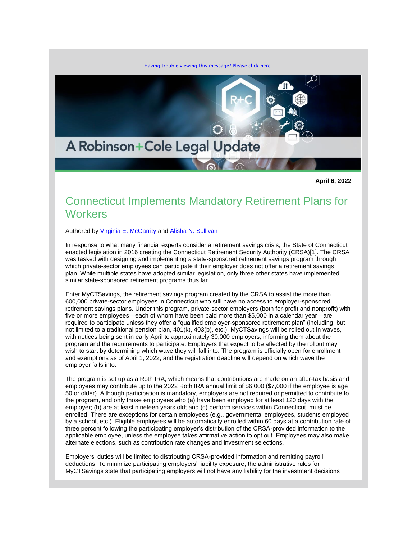

**April 6, 2022**

## Connecticut Implements Mandatory Retirement Plans for **Workers**

Authored by [Virginia E. McGarrity](https://www.rc.com/people/VirginiaEMcGarrity.cfm) and [Alisha N. Sullivan](https://www.rc.com/people/AlishaNSullivan.cfm)

In response to what many financial experts consider a retirement savings crisis, the State of Connecticut enacted legislation in 2016 creating the Connecticut Retirement Security Authority (CRSA)[1]. The CRSA was tasked with designing and implementing a state-sponsored retirement savings program through which private-sector employees can participate if their employer does not offer a retirement savings plan. While multiple states have adopted similar legislation, only three other states have implemented similar state-sponsored retirement programs thus far.

Enter MyCTSavings, the retirement savings program created by the CRSA to assist the more than 600,000 private-sector employees in Connecticut who still have no access to employer-sponsored retirement savings plans. Under this program, private-sector employers (both for-profit and nonprofit) with five or more employees—each of whom have been paid more than \$5,000 in a calendar year—are required to participate unless they offer a "qualified employer-sponsored retirement plan" (including, but not limited to a traditional pension plan, 401(k), 403(b), etc.). MyCTSavings will be rolled out in waves, with notices being sent in early April to approximately 30,000 employers, informing them about the program and the requirements to participate. Employers that expect to be affected by the rollout may wish to start by determining which wave they will fall into. The program is officially open for enrollment and exemptions as of April 1, 2022, and the registration deadline will depend on which wave the employer falls into.

The program is set up as a Roth IRA, which means that contributions are made on an after-tax basis and employees may contribute up to the 2022 Roth IRA annual limit of \$6,000 (\$7,000 if the employee is age 50 or older). Although participation is mandatory, employers are not required or permitted to contribute to the program, and only those employees who (a) have been employed for at least 120 days with the employer; (b) are at least nineteen years old; and (c) perform services within Connecticut, must be enrolled. There are exceptions for certain employees (e.g., governmental employees, students employed by a school, etc.). Eligible employees will be automatically enrolled within 60 days at a contribution rate of three percent following the participating employer's distribution of the CRSA-provided information to the applicable employee, unless the employee takes affirmative action to opt out. Employees may also make alternate elections, such as contribution rate changes and investment selections.

Employers' duties will be limited to distributing CRSA-provided information and remitting payroll deductions. To minimize participating employers' liability exposure, the administrative rules for MyCTSavings state that participating employers will not have any liability for the investment decisions